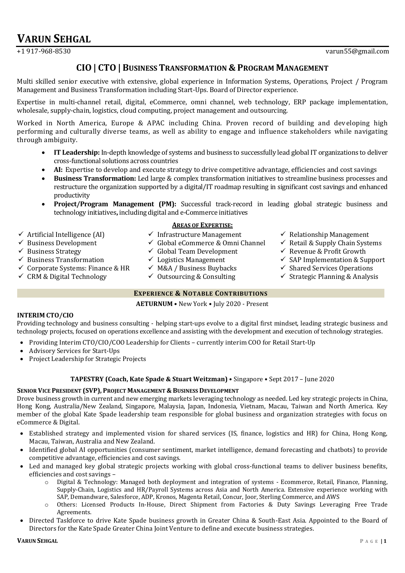# **VARUN SEHGAL**

# **CIO| CTO| BUSINESS TRANSFORMATION & PROGRAM MANAGEMENT**

Multi skilled senior executive with extensive, global experience in Information Systems, Operations, Project / Program Management and Business Transformation including Start-Ups. Board of Director experience.

Expertise in multi-channel retail, digital, eCommerce, omni channel, web technology, ERP package implementation, wholesale, supply-chain, logistics, cloud computing, project management and outsourcing.

Worked in North America, Europe & APAC including China. Proven record of building and developing high performing and culturally diverse teams, as well as ability to engage and influence stakeholders while navigating through ambiguity.

- **IT Leadership:** In-depth knowledge of systems and business to successfully lead global IT organizations to deliver cross-functional solutions across countries
- **AI:** Expertise to develop and execute strategy to drive competitive advantage, efficiencies and cost savings
- **Business Transformation:** Led large & complex transformation initiatives to streamline business processes and restructure the organization supported by a digital/IT roadmap resulting in significant cost savings and enhanced productivity
- **Project/Program Management (PM):** Successful track-record in leading global strategic business and technology initiatives**,** including digital and e-Commerce initiatives
- $\checkmark$  Artificial Intelligence (AI)
- $\checkmark$  Business Development
- $\checkmark$  Business Strategy
- $\checkmark$  Business Transformation
- $\checkmark$  Corporate Systems: Finance & HR
- $\checkmark$  CRM & Digital Technology
- **AREAS OF EXPERTISE:**
- $\checkmark$  Infrastructure Management
- $\checkmark$  Global eCommerce & Omni Channel
- $\checkmark$  Global Team Development
- $\checkmark$  Logistics Management
- $\checkmark$  M&A / Business Buybacks
- $\checkmark$  Outsourcing & Consulting
- 
- $\checkmark$  Relationship Management
- $\checkmark$  Retail & Supply Chain Systems
- $\checkmark$  Revenue & Profit Growth
- $\checkmark$  SAP Implementation & Support
	- $\checkmark$  Shared Services Operations
	- $\checkmark$  Strategic Planning & Analysis

# **EXPERIENCE & NOTABLE CONTRIBUTIONS**

**AETURNUM** • New York • July 2020 - Present

# **INTERIM CTO/CIO**

Providing technology and business consulting - helping start-ups evolve to a digital first mindset, leading strategic business and technology projects, focused on operations excellence and assisting with the development and execution of technology strategies.

- Providing Interim CTO/CIO/COO Leadership for Clients currently interim COO for Retail Start-Up
- Advisory Services for Start-Ups
- Project Leadership for Strategic Projects

# **TAPESTRY (Coach, Kate Spade & Stuart Weitzman)** • Singapore • Sept 2017 – June 2020

#### **SENIOR VICE PRESIDENT (SVP), PROJECT MANAGEMENT & BUSINESS DEVELOPMENT**

Drove business growth in current and new emerging markets leveraging technology as needed. Led key strategic projects in China, Hong Kong, Australia/New Zealand, Singapore, Malaysia, Japan, Indonesia, Vietnam, Macau, Taiwan and North America. Key member of the global Kate Spade leadership team responsible for global business and organization strategies with focus on eCommerce & Digital.

- Established strategy and implemented vision for shared services (IS, finance, logistics and HR) for China, Hong Kong, Macau, Taiwan, Australia and New Zealand.
- Identified global AI opportunities (consumer sentiment, market intelligence, demand forecasting and chatbots) to provide competitive advantage, efficiencies and cost savings.
- Led and managed key global strategic projects working with global cross-functional teams to deliver business benefits, efficiencies and cost savings –
	- o Digital & Technology: Managed both deployment and integration of systems Ecommerce, Retail, Finance, Planning, Supply-Chain, Logistics and HR/Payroll Systems across Asia and North America. Extensive experience working with SAP, Demandware, Salesforce, ADP, Kronos, Magenta Retail, Concur, Joor, Sterling Commerce, and AWS
	- o Others: Licensed Products In-House, Direct Shipment from Factories & Duty Savings Leveraging Free Trade Agreements.
- Directed Taskforce to drive Kate Spade business growth in Greater China & South-East Asia. Appointed to the Board of Directors for the Kate Spade Greater China Joint Venture to define and execute business strategies.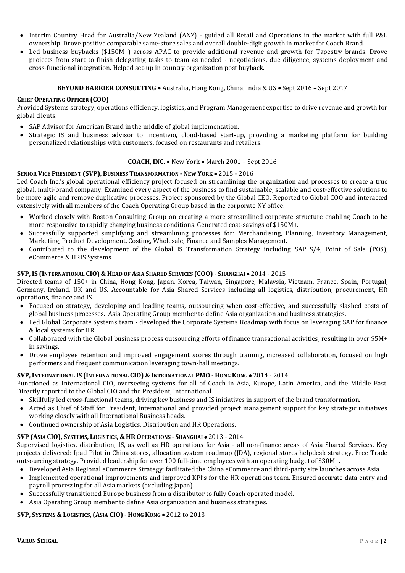- Interim Country Head for Australia/New Zealand (ANZ) guided all Retail and Operations in the market with full P&L ownership. Drove positive comparable same-store sales and overall double-digit growth in market for Coach Brand.
- Led business buybacks (\$150M+) across APAC to provide additional revenue and growth for Tapestry brands. Drove projects from start to finish delegating tasks to team as needed - negotiations, due diligence, systems deployment and cross-functional integration. Helped set-up in country organization post buyback.

#### **BEYOND BARRIER CONSULTING** • Australia, Hong Kong, China, India & US • Sept 2016 – Sept 2017

#### **CHIEF OPERATING OFFICER (COO)**

Provided Systems strategy, operations efficiency, logistics, and Program Management expertise to drive revenue and growth for global clients.

- SAP Advisor for American Brand in the middle of global implementation.
- Strategic IS and business advisor to Incentivio, cloud-based start-up, providing a marketing platform for building personalized relationships with customers, focused on restaurants and retailers.

#### **COACH, INC.** • New York • March 2001 – Sept 2016

#### **SENIOR VICE PRESIDENT (SVP), BUSINESS TRANSFORMATION -NEW YORK** • 2015 - 2016

Led Coach Inc.'s global operational efficiency project focused on streamlining the organization and processes to create a true global, multi-brand company. Examined every aspect of the business to find sustainable, scalable and cost-effective solutions to be more agile and remove duplicative processes. Project sponsored by the Global CEO. Reported to Global COO and interacted extensively with all members of the Coach Operating Group based in the corporate NY office.

- Worked closely with Boston Consulting Group on creating a more streamlined corporate structure enabling Coach to be more responsive to rapidly changing business conditions. Generated cost-savings of \$150M+.
- Successfully supported simplifying and streamlining processes for: Merchandising, Planning, Inventory Management, Marketing, Product Development, Costing, Wholesale, Finance and Samples Management.
- Contributed to the development of the Global IS Transformation Strategy including SAP S/4, Point of Sale (POS), eCommerce & HRIS Systems.

#### **SVP, IS (INTERNATIONAL CIO) & HEAD OF ASIA SHARED SERVICES (COO) - SHANGHAI** • 2014 - 2015

Directed teams of 150+ in China, Hong Kong, Japan, Korea, Taiwan, Singapore, Malaysia, Vietnam, France, Spain, Portugal, Germany, Ireland, UK and US. Accountable for Asia Shared Services including all logistics, distribution, procurement, HR operations, finance and IS.

- Focused on strategy, developing and leading teams, outsourcing when cost-effective, and successfully slashed costs of global business processes. Asia Operating Group member to define Asia organization and business strategies.
- Led Global Corporate Systems team developed the Corporate Systems Roadmap with focus on leveraging SAP for finance & local systems for HR.
- Collaborated with the Global business process outsourcing efforts of finance transactional activities, resulting in over \$5M+ in savings.
- Drove employee retention and improved engagement scores through training, increased collaboration, focused on high performers and frequent communication leveraging town-hall meetings.

#### **SVP, INTERNATIONAL IS (INTERNATIONAL CIO) & INTERNATIONAL PMO - HONG KONG** • 2014 - 2014

Functioned as International CIO, overseeing systems for all of Coach in Asia, Europe, Latin America, and the Middle East. Directly reported to the Global CIO and the President, International.

- Skillfully led cross-functional teams, driving key business and IS initiatives in support of the brand transformation.
- Acted as Chief of Staff for President, International and provided project management support for key strategic initiatives working closely with all International Business heads.
- Continued ownership of Asia Logistics, Distribution and HR Operations.

# **SVP (ASIA CIO), SYSTEMS, LOGISTICS, & HR OPERATIONS - SHANGHAI** • 2013 - 2014

Supervised logistics, distribution, IS, as well as HR operations for Asia - all non-finance areas of Asia Shared Services. Key projects delivered: Ipad Pilot in China stores, allocation system roadmap (JDA), regional stores helpdesk strategy, Free Trade outsourcing strategy. Provided leadership for over 100 full-time employees with an operating budget of \$30M+.

- Developed Asia Regional eCommerce Strategy; facilitated the China eCommerce and third-party site launches across Asia.
- Implemented operational improvements and improved KPI's for the HR operations team. Ensured accurate data entry and payroll processing for all Asia markets (excluding Japan).
- Successfully transitioned Europe business from a distributor to fully Coach operated model.
- Asia Operating Group member to define Asia organization and business strategies.

# **SVP, SYSTEMS & LOGISTICS, (ASIA CIO) - HONG KONG** • 2012 to 2013